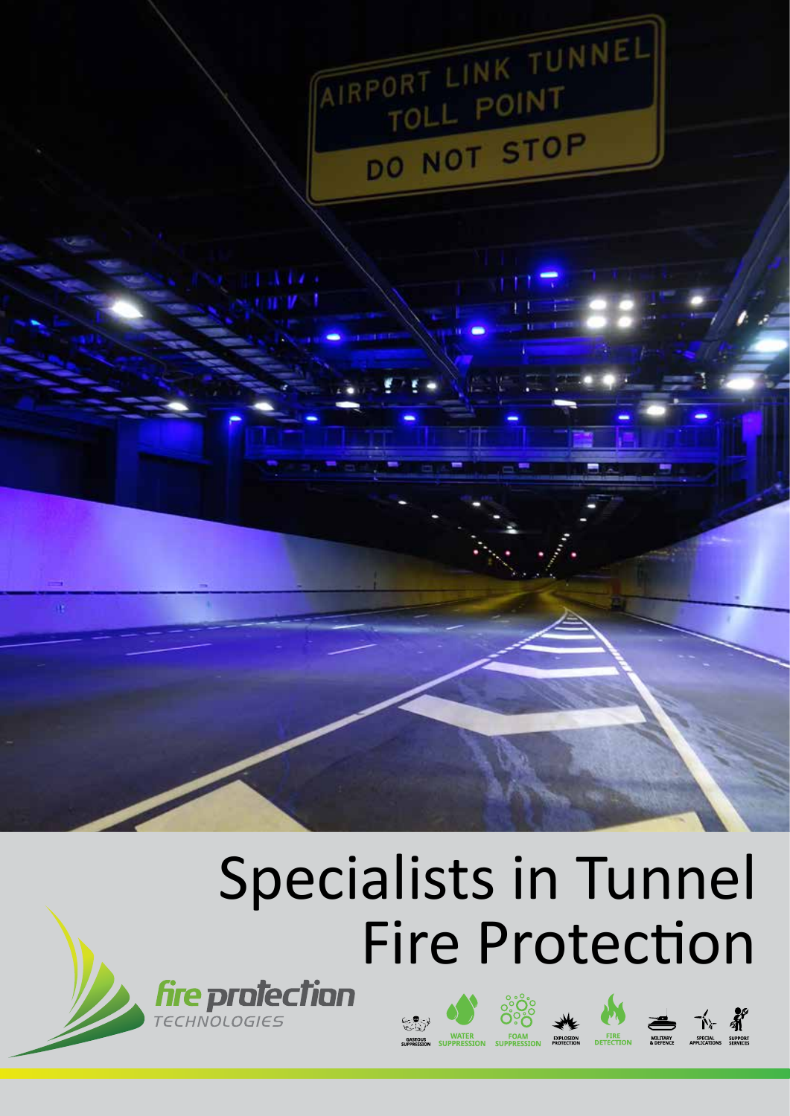

# Specialists in Tunnel Fire Protection











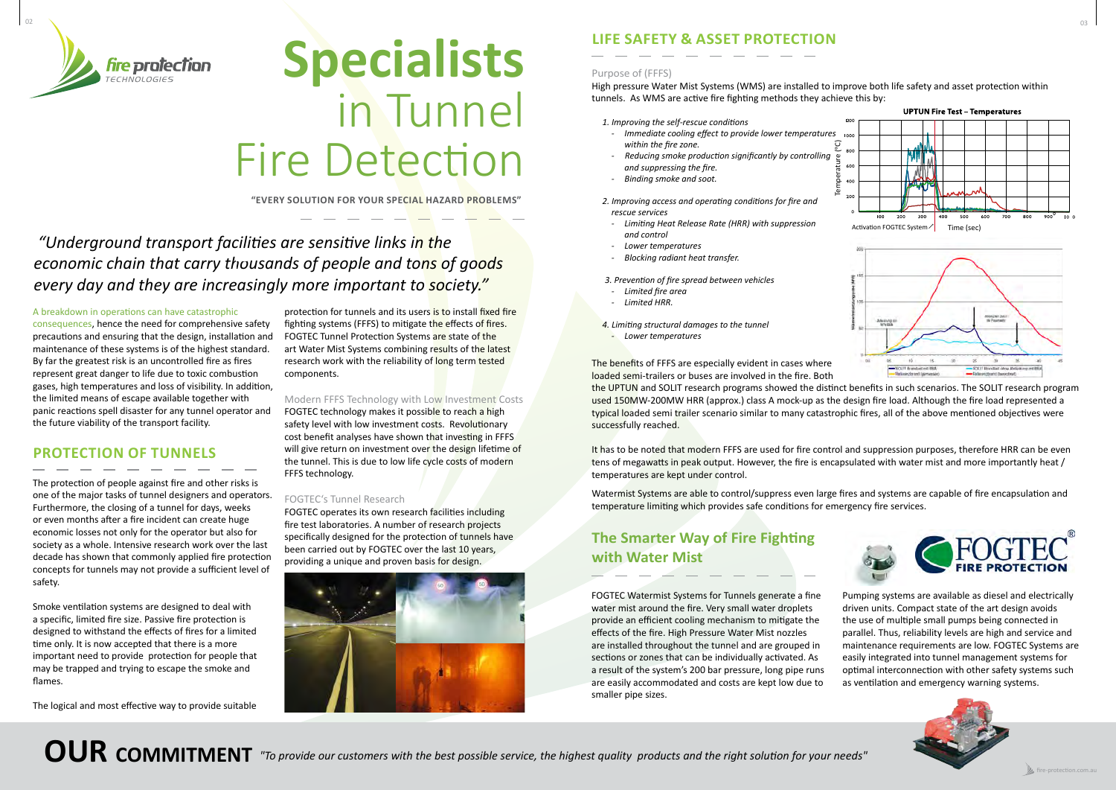

# **LIFE SAFETY & ASSET PROTECTION**

### Purpose of (FFFS)

High pressure Water Mist Systems (WMS) are installed to improve both life safety and asset protection within tunnels. As WMS are active fire fighting methods they achieve this by:

*1. Improving the self-rescue conditions*

- *- Immediate cooling effect to provide lower temperatures within the fire zone.*
- *Reducing smoke production significantly by controlling and suppressing the fire.*
- *- Binding smoke and soot.*
- *2. Improving access and operating conditions for fire and rescue services*
- *- Limiting Heat Release Rate (HRR) with suppression and control*
- *- Lower temperatures*
- *- Blocking radiant heat transfer.*
- *3. Prevention of fire spread between vehicles*
- *- Limited fire area*
- *- Limited HRR.*
- *4. Limiting structural damages to the tunnel*
- *- Lower temperatures*







FOGTEC Watermist Systems for Tunnels generate a fine water mist around the fire. Very small water droplets provide an efficient cooling mechanism to mitigate the effects of the fire. High Pressure Water Mist nozzles are installed throughout the tunnel and are grouped in sections or zones that can be individually activated. As a result of the system's 200 bar pressure, long pipe runs are easily accommodated and costs are kept low due to smaller pipe sizes. Pumping systems are available as diesel and electrically driven units. Compact state of the art design avoids the use of multiple small pumps being connected in parallel. Thus, reliability levels are high and service and maintenance requirements are low. FOGTEC Systems are easily integrated into tunnel management systems for optimal interconnection with other safety systems such as ventilation and emergency warning systems.

The benefits of FFFS are especially evident in cases where SCETT Hondiat de loaded semi-trailers or buses are involved in the fire. Both the UPTUN and SOLIT research programs showed the distinct benefits in such scenarios. The SOLIT research program used 150MW-200MW HRR (approx.) class A mock-up as the design fire load. Although the fire load represented a typical loaded semi trailer scenario similar to many catastrophic fires, all of the above mentioned objectives were successfully reached.

# **The Smarter Way of Fire Fighting with Water Mist**

protection for tunnels and its users is to install fixed fire fighting systems (FFFS) to mitigate the effects of fires. FOGTEC Tunnel Protection Systems are state of the art Water Mist Systems combining results of the latest research work with the reliability of long term tested components.

> It has to be noted that modern FFFS are used for fire control and suppression purposes, therefore HRR can be even tens of megawatts in peak output. However, the fire is encapsulated with water mist and more importantly heat / temperatures are kept under control.

> Watermist Systems are able to control/suppress even large fires and systems are capable of fire encapsulation and temperature limiting which provides safe conditions for emergency fire services.

# **Specialists** in Tunnel Fire Detection

# *"Underground transport facilities are sensitive links in the economic chain that carry thousands of people and tons of goods every day and they are increasingly more important to society."*

A breakdown in operations can have catastrophic

consequences, hence the need for comprehensive safety precautions and ensuring that the design, installation and maintenance of these systems is of the highest standard. By far the greatest risk is an uncontrolled fire as fires represent great danger to life due to toxic combustion gases, high temperatures and loss of visibility. In addition, the limited means of escape available together with panic reactions spell disaster for any tunnel operator and the future viability of the transport facility.

# **PROTECTION OF TUNNELS**

The protection of people against fire and other risks is one of the major tasks of tunnel designers and operators. Furthermore, the closing of a tunnel for days, weeks or even months after a fire incident can create huge economic losses not only for the operator but also for society as a whole. Intensive research work over the last decade has shown that commonly applied fire protection concepts for tunnels may not provide a sufficient level of safety.

Smoke ventilation systems are designed to deal with a specific, limited fire size. Passive fire protection is designed to withstand the effects of fires for a limited time only. It is now accepted that there is a more important need to provide protection for people that may be trapped and trying to escape the smoke and flames.

The logical and most effective way to provide suitable

Modern FFFS Technology with Low Investment Costs FOGTEC technology makes it possible to reach a high safety level with low investment costs. Revolutionary cost benefit analyses have shown that investing in FFFS will give return on investment over the design lifetime of the tunnel. This is due to low life cycle costs of modern FFFS technology.

### FOGTEC's Tunnel Research

FOGTEC operates its own research facilities including fire test laboratories. A number of research projects specifically designed for the protection of tunnels have been carried out by FOGTEC over the last 10 years, providing a unique and proven basis for design.



**"EVERY SOLUTION FOR YOUR SPECIAL HAZARD PROBLEMS"**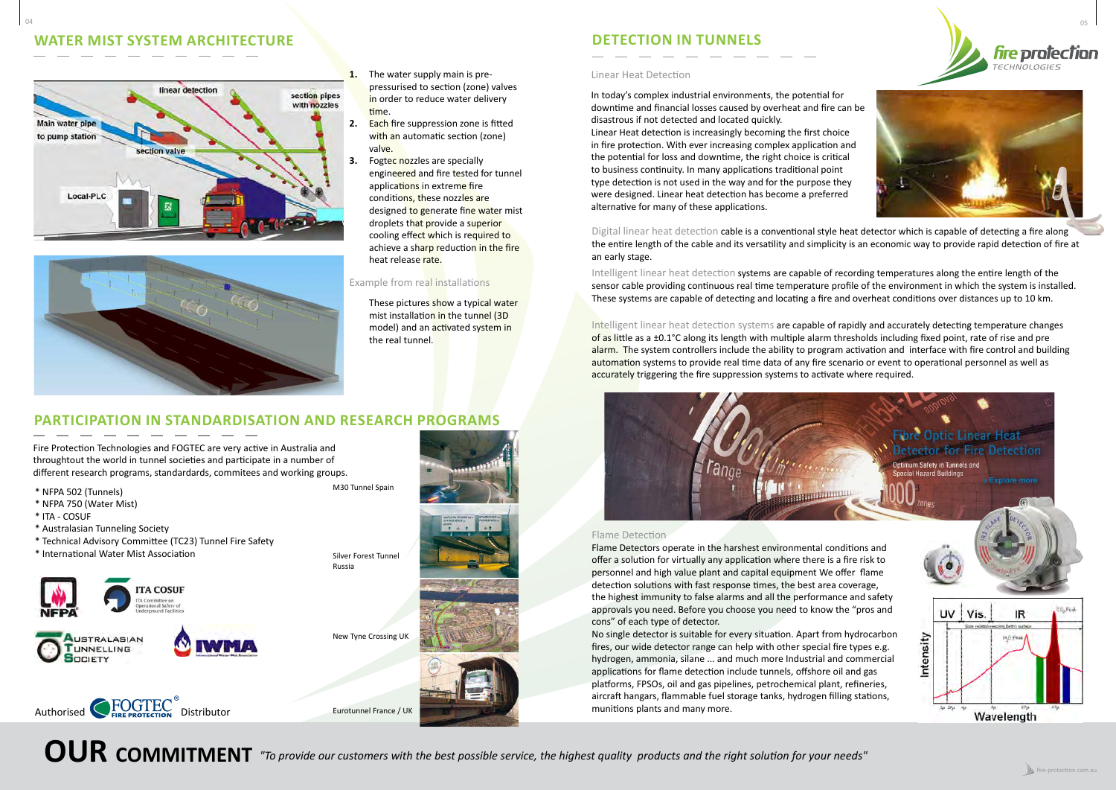



# **DETECTION IN TUNNELS**

#### Linear Heat Detection

In today's complex industrial environments, the potential for downtime and financial losses caused by overheat and fire can be disastrous if not detected and located quickly.

Linear Heat detection is increasingly becoming the first choice in fire protection. With ever increasing complex application and the potential for loss and downtime, the right choice is critical to business continuity. In many applications traditional point type detection is not used in the way and for the purpose they were designed. Linear heat detection has become a preferred alternative for many of these applications.

#### Flame Detection

Intelligent linear heat detection systems are capable of rapidly and accurately detecting temperature changes of as little as a ±0.1°C along its length with multiple alarm thresholds including fixed point, rate of rise and pre alarm. The system controllers include the ability to program activation and interface with fire control and building automation systems to provide real time data of any fire scenario or event to operational personnel as well as accurately triggering the fire suppression systems to activate where required.

cons" of each type of detector.



These pictures show a typical water mist installation in the tunnel (3D model) and an activated system in the real tunnel.

# **PATION IN STANDARDISATION AND RESEARCH PROGRAMS**

munitions plants and many more.

Digital linear heat detection cable is a conventional style heat detector which is capable of detecting a fire along the entire length of the cable and its versatility and simplicity is an economic way to provide rapid detection of fire at an early stage.

Intelligent linear heat detection systems are capable of recording temperatures along the entire length of the sensor cable providing continuous real time temperature profile of the environment in which the system is installed. These systems are capable of detecting and locating a fire and overheat conditions over distances up to 10 km.

#### Example from real installations

- **1.** The water supply main is prepressurised to section (zone) valves in order to reduce water delivery time.
- **2.** Each fire suppression zone is fitted with an automatic section (zone) valve.
- **3.** Fogtec nozzles are specially engineered and fire tested for tunnel applications in extreme fire conditions, these nozzles are designed to generate fine water mist droplets that provide a superior cooling effect which is required to achieve a sharp reduction in the fire heat release rate.

# **WATER MIST SYSTEM ARCHITECTURE**





Fire Protection Technologies and FOGTEC are very active in Australia and throughtout the world in tunnel societies and participate in a number of different research programs, standardards, commitees and working groups.

- \* NFPA 502 (Tunnels)
- \* NFPA 750 (Water Mist)
- \* ITA COSUF
- \* Australasian Tunneling Society
- \* Technical Advisory Committee (TC23) Tunnel Fire Safety

\* International Water Mist Association





Authorised CFOGTEC<sup>®</sup><br>
Distributor Eurotunnel France / UK

**OUR COMMITMENT** "To provide our customers with the best possible service, the highest quality products and the right solution for your needs"

M30 Tunnel Spain





New Tyne Crossing UK

Silver Forest Tunnel

Russia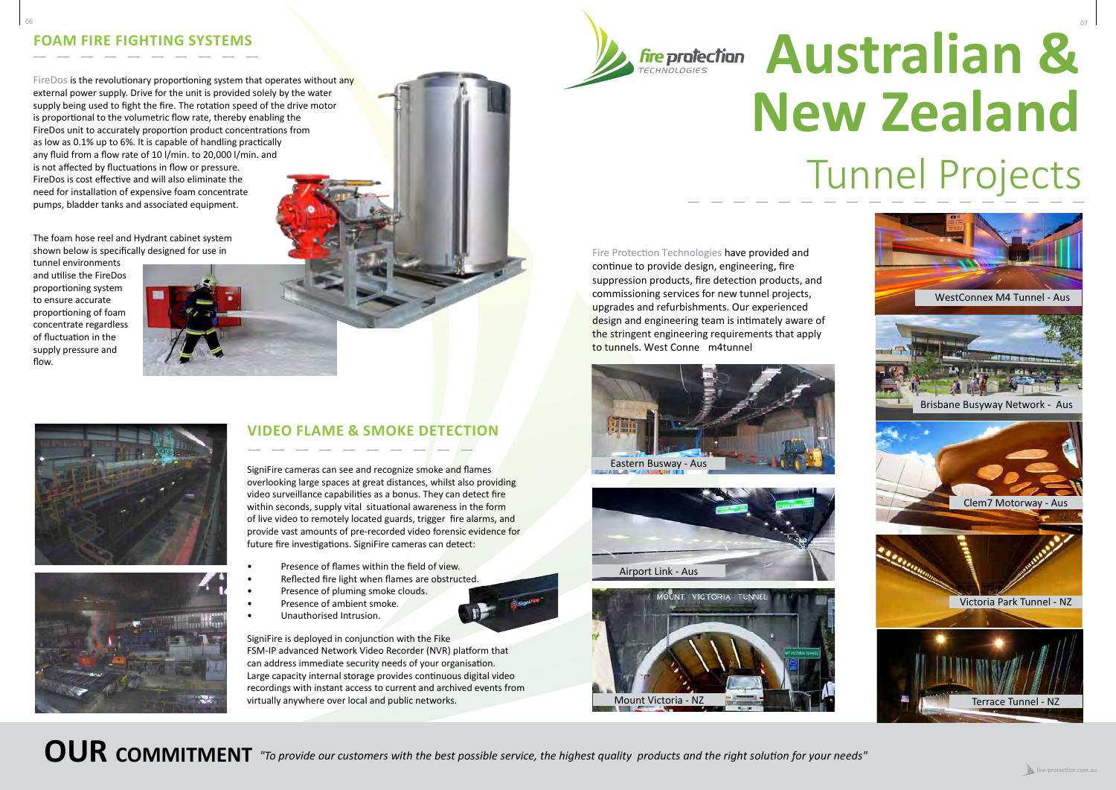Fire Protection Technologies have provided and continue to provide design, engineering, fire suppression products, fire detection products, and commissioning services for new tunnel projects, upgrades and refurbishments. Our experienced design and engineering team is intimately aware of the stringent engineering requirements that apply to tunnels. West Conne m4tunnel

# **Australian & New Zealand** Tunnel Projects





**OUR COMMITMENT** "To provide our customers with the best possible service, the highest quality products and the right solution for your needs"



# **VIDEO FLAME & SMOKE DETECTION**

SigniFire cameras can see and recognize smoke and flames overlooking large spaces at great distances, whilst also providing video surveillance capabilities as a bonus. They can detect fire within seconds, supply vital situational awareness in the form of live video to remotely located guards, trigger fire alarms, and provide vast amounts of pre-recorded video forensic evidence for future fire investigations. SigniFire cameras can detect:

FireDos is the revolutionary proportioning system that operates without any external power supply. Drive for the unit is provided solely by the water supply being used to fight the fire. The rotation speed of the drive motor is proportional to the volumetric flow rate, thereby enabling the FireDos unit to accurately proportion product concentrations from as low as 0.1% up to 6%. It is capable of handling practically any fluid from a flow rate of 10 l/min. to 20,000 l/min. and is not affected by fluctuations in flow or pressure. FireDos is cost effective and will also eliminate the need for installation of expensive foam concentrate pumps, bladder tanks and associated equipment.

- Presence of flames within the field of view.
- Reflected fire light when flames are obstructed.
- Presence of pluming smoke clouds.
- Presence of ambient smoke.
- Unauthorised Intrusion.

SigniFire is deployed in conjunction with the Fike FSM-IP advanced Network Video Recorder (NVR) platform that can address immediate security needs of your organisation. Large capacity internal storage provides continuous digital video recordings with instant access to current and archived events from virtually anywhere over local and public networks.

06 and the contract of the contract of the contract of the contract of the contract of the contract of the contract of the contract of the contract of the contract of the contract of the contract of the contract of the con



# **FOAM FIRE FIGHTING SYSTEMS**

The foam hose reel and Hydrant cabinet system shown below is specifically designed for use in

tunnel environments and utilise the FireDos proportioning system to ensure accurate proportioning of foam concentrate regardless of fluctuation in the supply pressure and flow.